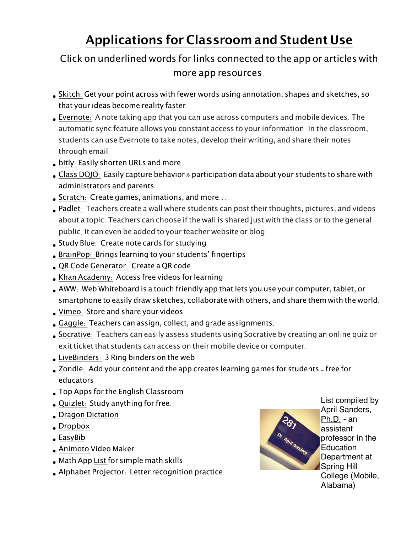## **Applications for Classroom and Student Use**

## Click on underlined words for links connected to the app or articles with more app resources.

- [Skitch](http://evernote.com/skitch/): Get your point across with fewer words using annotation, shapes and sketches, so that your ideas become reality faster.
- [Evernote](http://evernote.com): A note taking app that you can use across computers and mobile devices. The automatic sync feature allows you constant access to your information. In the classroom, students can use Evernote to take notes, develop their writing, and share their notes through email.
- [bitly](https://bitly.com): Easily shorten URLs and more
- Class [DOJO](http://www.classdojo.com/about): Easily capture behavior & participation data about your students to share with administrators and parents
- [Scratch](http://scratch.mit.edu): Create games, animations, and more...
- [Padlet](http://padlet.com): Teachers create a wall where students can post their thoughts, pictures, and videos about a topic. Teachers can choose if the wall is shared just with the class or to the general public. It can even be added to your teacher website or blog.
- [Study](http://www.studyblue.com) Blue: Create note cards for studying
- [BrainPop](https://itunes.apple.com/ca/app/brainpop-featured-movie/id364894352): Brings learning to your students' fingertips
- QR Code [Generator](http://www.qrstuff.com): Create a QR code
- Khan [Academy](http://www.khanacademy.org): Access free videos for learning
- [AWW](http://awwapp.com): Web Whiteboard is a touch friendly app that lets you use your computer, tablet, or smartphone to easily draw sketches, collaborate with others, and share them with the world.
- [Vimeo](https://vimeo.com): Store and share your videos
- [Gaggle](https://gaggle.net): Teachers can assign, collect, and grade assignments.
- [Socrative](http://www.socrative.com): Teachers can easily assess students using Socrative by creating an online quiz or exit ticket that students can access on their mobile device or computer.
- [LiveBinders](http://www.livebinders.com): 3 Ring binders on the web
- [Zondle](https://www.zondle.com/publicPages/welcome.aspx): Add your content and the app creates learning games for students free for educators
- Top Apps for the English [Classroom](http://www.thetechclassroom.com/byod/top-apps-for-the-english-class)
- [Quizlet](http://quizlet.com): Study anything for free.
- Dragon [Dictation](http://www.nuancemobilelife.com/apps/dragon-dictation/)
- [Dropbox](https://itunes.apple.com/us/app/dropbox/id327630330?mt=8)
- [EasyBib](https://itunes.apple.com/us/app/easybib/id436768184?mt=8)
- [Animoto](https://itunes.apple.com/us/app/animoto-video-maker/id459248037?mt=8) Video Maker
- Math App [List](http://www.technologyrocksseriously.com/2012/12/more-free-math-apps.html) for simple math skills
- Alphabet [Projector](https://itunes.apple.com/us/app/alphabet-projector/id390074649?mt=8): Letter recognition practice



List compiled by [April Sanders,](http://www.aprilsandersphd.com/resources.html)  [Ph.D.](http://www.aprilsandersphd.com/resources.html) - an assistant professor in the **Education** Department at Spring Hill College (Mobile, Alabama)